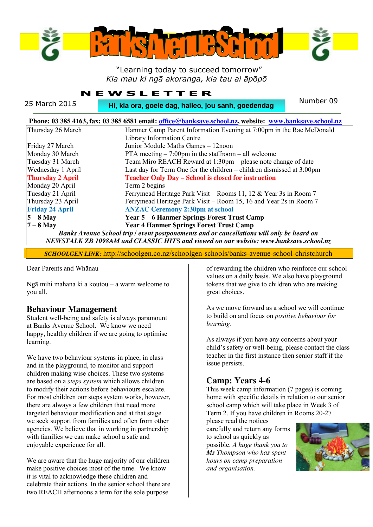

#### "Learning today to succeed tomorrow" *Kia mau ki ngā akoranga, kia tau ai āpōpō*

#### **NEWSLETTER**

| 25 March 2015<br>Hi, kia ora, goeie dag, haileo, jou sanh, goedendag                                   |                                                                         | Number 09 |  |  |  |  |  |
|--------------------------------------------------------------------------------------------------------|-------------------------------------------------------------------------|-----------|--|--|--|--|--|
| Phone: 03 385 4163, fax: 03 385 6581 email: office@banksave.school.nz, website: www.banksave.school.nz |                                                                         |           |  |  |  |  |  |
| Thursday 26 March                                                                                      | Hanmer Camp Parent Information Evening at 7:00pm in the Rae McDonald    |           |  |  |  |  |  |
|                                                                                                        | Library Information Centre                                              |           |  |  |  |  |  |
| Friday 27 March                                                                                        | Junior Module Maths Games - 12noon                                      |           |  |  |  |  |  |
| Monday 30 March                                                                                        | PTA meeting $-7:00$ pm in the staffroom $-$ all welcome                 |           |  |  |  |  |  |
| Tuesday 31 March                                                                                       | Team Miro REACH Reward at 1:30pm – please note change of date           |           |  |  |  |  |  |
| Wednesday 1 April                                                                                      | Last day for Term One for the children $-$ children dismissed at 3:00pm |           |  |  |  |  |  |
| <b>Thursday 2 April</b>                                                                                | <b>Teacher Only Day - School is closed for instruction</b>              |           |  |  |  |  |  |
| Monday 20 April                                                                                        | Term 2 begins                                                           |           |  |  |  |  |  |
| Tuesday 21 April                                                                                       | Ferrymead Heritage Park Visit - Rooms 11, 12 & Year 3s in Room 7        |           |  |  |  |  |  |
| Thursday 23 April                                                                                      | Ferrymead Heritage Park Visit – Room 15, 16 and Year 2s in Room 7       |           |  |  |  |  |  |
| <b>Friday 24 April</b>                                                                                 | <b>ANZAC Ceremony 2:30pm at school</b>                                  |           |  |  |  |  |  |
| $5 - 8$ May                                                                                            | Year 5 - 6 Hanmer Springs Forest Trust Camp                             |           |  |  |  |  |  |
| $7 - 8$ May                                                                                            | <b>Year 4 Hanmer Springs Forest Trust Camp</b>                          |           |  |  |  |  |  |
| Banks Avenue School trip / event postponements and or cancellations will only be heard on              |                                                                         |           |  |  |  |  |  |
| NEWSTALK ZB 1098AM and CLASSIC HITS and viewed on our website: www.banksave.school.nz                  |                                                                         |           |  |  |  |  |  |
|                                                                                                        |                                                                         |           |  |  |  |  |  |

*SCHOOLGEN LINK:* http://schoolgen.co.nz/schoolgen-schools/banks-avenue-school-christchurch

Dear Parents and Whānau

Ngā mihi mahana ki a koutou – a warm welcome to you all.

#### **Behaviour Management**

Student well-being and safety is always paramount at Banks Avenue School. We know we need happy, healthy children if we are going to optimise learning.

We have two behaviour systems in place, in class and in the playground, to monitor and support children making wise choices. These two systems are based on a *steps system* which allows children to modify their actions before behaviours escalate. For most children our steps system works, however, there are always a few children that need more targeted behaviour modification and at that stage we seek support from families and often from other agencies. We believe that in working in partnership with families we can make school a safe and enjoyable experience for all.

We are aware that the huge majority of our children make positive choices most of the time. We know it is vital to acknowledge these children and celebrate their actions. In the senior school there are two REACH afternoons a term for the sole purpose

of rewarding the children who reinforce our school values on a daily basis. We also have playground tokens that we give to children who are making great choices.

As we move forward as a school we will continue to build on and focus on *positive behaviour for learning*.

As always if you have any concerns about your child's safety or well-being, please contact the class teacher in the first instance then senior staff if the issue persists.

## **Camp: Years 4-6**

This week camp information (7 pages) is coming home with specific details in relation to our senior school camp which will take place in Week 3 of Term 2. If you have children in Rooms 20-27

please read the notices carefully and return any forms to school as quickly as possible. *A huge thank you to Ms Thompson who has spent hours on camp preparation and organisation.*

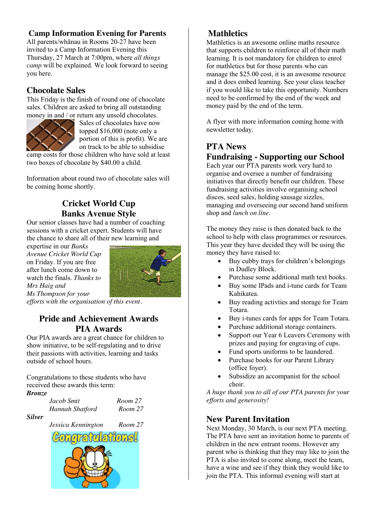#### **Camp Information Evening for Parents**

All parents/whānau in Rooms 20-27 have been invited to a Camp Information Evening this Thursday, 27 March at 7:00pm, where *all things camp* will be explained. We look forward to seeing you here.

#### **Chocolate Sales**

This Friday is the finish of round one of chocolate sales. Children are asked to bring all outstanding money in and / or return any unsold chocolates.



Sales of chocolates have now topped \$16,000 (note only a portion of this is profit). We are on track to be able to subsidise

camp costs for those children who have sold at least two boxes of chocolate by \$40.00 a child.

Information about round two of chocolate sales will be coming home shortly.

## **Cricket World Cup Banks Avenue Style**

Our senior classes have had a number of coaching sessions with a cricket expert. Students will have the chance to share all of their new learning and

expertise in our *Banks Avenue Cricket World Cup* on Friday. If you are free after lunch come down to watch the finals. *Thanks to Mrs Haig and Ms Thompson for your* 



*efforts with the organisation of this event.*

## **Pride and Achievement Awards PIA Awards**

Our PIA awards are a great chance for children to show initiative, to be self-regulating and to drive their passions with activities, learning and tasks outside of school hours.

Congratulations to these students who have received these awards this term:

#### *Bronze*

| Jacob Smit      |  |  |  |  |
|-----------------|--|--|--|--|
| Hannah Shatford |  |  |  |  |

*Silver*

*Jacob Smit Room 27 Hannah Shatford Room 27* 



#### **Mathletics**

Mathletics is an awesome online maths resource that supports children to reinforce all of their math learning. It is not mandatory for children to enrol for mathletics but for those parents who can manage the \$25.00 cost, it is an awesome resource and it does embed learning. See your class teacher if you would like to take this opportunity. Numbers need to be confirmed by the end of the week and money paid by the end of the term.

A flyer with more information coming home with newsletter today.

# **PTA News Fundraising - Supporting our School**

Each year our PTA parents work very hard to organise and oversee a number of fundraising initiatives that directly benefit our children. These fundraising activities involve organising school discos, seed sales, holding sausage sizzles, managing and overseeing our second hand uniform shop and *lunch on line*.

The money they raise is then donated back to the school to help with class programmes or resources. This year they have decided they will be using the money they have raised to:

- $\bullet$  Buy cubby trays for children's belongings in Dudley Block.
- Purchase some additional math text books.
- Buy some IPads and i-tune cards for Team Kahikatea.
- Buy reading activities and storage for Team Totara.
- Buy i-tunes cards for apps for Team Totara.
- Purchase additional storage containers.
- Support our Year 6 Leavers Ceremony with prizes and paying for engraving of cups.
- Fund sports uniforms to be laundered.
- Purchase books for our Parent Library (office foyer).
- Subsidize an accompanist for the school choir.

*A huge thank you to all of our PTA parents for your efforts and generosity!*

#### **New Parent Invitation**

Next Monday, 30 March, is our next PTA meeting. The PTA have sent an invitation home to parents of children in the new entrant rooms. However any parent who is thinking that they may like to join the PTA is also invited to come along, meet the team, have a wine and see if they think they would like to join the PTA. This informal evening will start at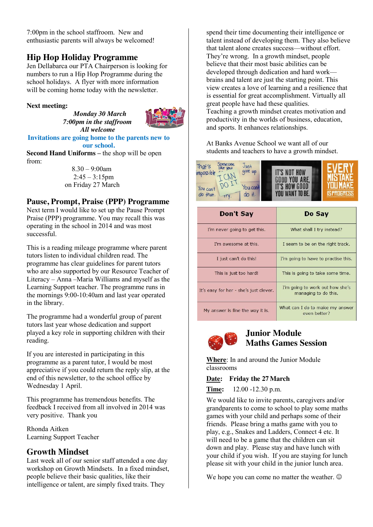7:00pm in the school staffroom. New and enthusiastic parents will always be welcomed!

## **Hip Hop Holiday Programme**

Jen Dellabarca our PTA Chairperson is looking for numbers to run a Hip Hop Programme during the school holidays. A flyer with more information will be coming home today with the newsletter.

#### **Next meeting:**

 *Monday 30 March*  *7:00pm in the staffroom All welcome* 



**Invitations are going home to the parents new to our school.**

**Second Hand Uniforms –** the shop will be open from:

 $8.30 - 9:00$ am  $2:45 - 3:15$ pm on Friday 27 March

#### **Pause, Prompt, Praise (PPP) Programme**

Next term I would like to set up the Pause Prompt Praise (PPP) programme. You may recall this was operating in the school in 2014 and was most successful.

This is a reading mileage programme where parent tutors listen to individual children read. The programme has clear guidelines for parent tutors who are also supported by our Resource Teacher of Literacy – Anna –Maria Williams and myself as the Learning Support teacher. The programme runs in the mornings 9:00-10:40am and last year operated in the library.

The programme had a wonderful group of parent tutors last year whose dedication and support played a key role in supporting children with their reading.

If you are interested in participating in this programme as a parent tutor, I would be most appreciative if you could return the reply slip, at the end of this newsletter, to the school office by Wednesday 1 April.

This programme has tremendous benefits. The feedback I received from all involved in 2014 was very positive. Thank you

Rhonda Aitken Learning Support Teacher

#### **Growth Mindset**

Last week all of our senior staff attended a one day workshop on Growth Mindsets. In a fixed mindset, people believe their basic qualities, like their intelligence or talent, are simply fixed traits. They

spend their time documenting their intelligence or talent instead of developing them. They also believe that talent alone creates success—without effort. They're wrong. In a growth mindset, people believe that their most basic abilities can be developed through dedication and hard work brains and talent are just the starting point. This view creates a love of learning and a resilience that is essential for great accomplishment. Virtually all great people have had these qualities. Teaching a growth mindset creates motivation and productivity in the worlds of business, education, and sports. It enhances relationships.

At Banks Avenue School we want all of our students and teachers to have a growth mindset.



| Don't Say                              | Do Say                                                  |  |  |
|----------------------------------------|---------------------------------------------------------|--|--|
| I'm never going to get this.           | What shall I try instead?                               |  |  |
| I'm awesome at this.                   | I seem to be on the right track.                        |  |  |
| I just can't do this!                  | I'm going to have to practise this.                     |  |  |
| This is just too hard!                 | This is going to take some time.                        |  |  |
| It's easy for her - she's just clever. | I'm going to work out how she's<br>managing to do this. |  |  |
| My answer is fine the way it is.       | What can I do to make my answer<br>even better?         |  |  |



#### **Junior Module Maths Games Session**

**Where**: In and around the Junior Module classrooms

**Date: Friday the 27March** 

**Time:** 12.00 -12.30 p.m.

We would like to invite parents, caregivers and/or grandparents to come to school to play some maths games with your child and perhaps some of their friends. Please bring a maths game with you to play, e.g., Snakes and Ladders, Connect 4 etc. It will need to be a game that the children can sit down and play. Please stay and have lunch with your child if you wish. If you are staying for lunch please sit with your child in the junior lunch area.

We hope you can come no matter the weather.  $\odot$